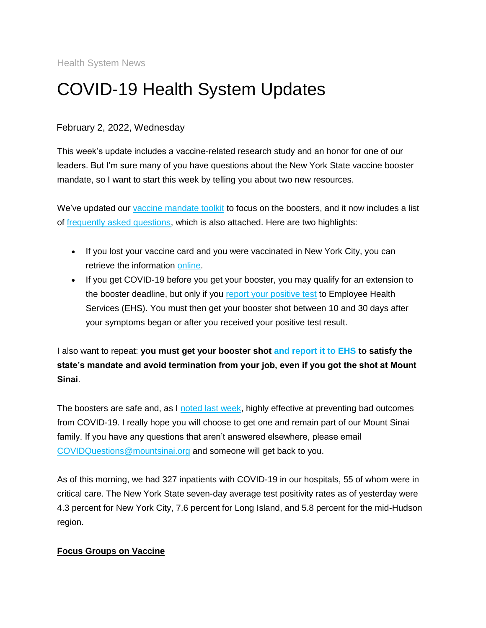Health System News

## COVID-19 Health System Updates

## February 2, 2022, Wednesday

This week's update includes a vaccine-related research study and an honor for one of our leaders. But I'm sure many of you have questions about the New York State vaccine booster mandate, so I want to start this week by telling you about two new resources.

We've updated our [vaccine mandate toolkit](https://s2.bl-1.com/h/dpqQSZHl?url=https://www.mountsinai.org/about/covid19/staff-resources/vaccine-information-employees/vaccine-mandate-toolkit) to focus on the boosters, and it now includes a list of [frequently asked questions,](https://s2.bl-1.com/h/dpqQTghn?url=https://www.mountsinai.org/files/MSHealth/Assets/HS/About/Coronavirus/CRTV-7844-MSHS-COVID-19_Vaccine_Emp_Booster_Mandate_8.5x11.pdf) which is also attached. Here are two highlights:

- If you lost your vaccine card and you were vaccinated in New York City, you can retrieve the information [online.](https://s2.bl-1.com/h/dpqQTl4p?url=https://myvaccinerecord.cityofnewyork.us/myrecord/)
- If you get COVID-19 before you get your booster, you may qualify for an extension to the booster deadline, but only if you [report your positive test](https://s2.bl-1.com/h/dpqQTpTr?url=https://redcap.mountsinai.org/redcap/surveys/index.php?s=NR7Y7DAWDW) to Employee Health Services (EHS). You must then get your booster shot between 10 and 30 days after your symptoms began or after you received your positive test result.

I also want to repeat: **you must get your booster shot [and report it to EHS](https://s2.bl-1.com/h/dpqQTvst?url=https://redcap.mountsinai.org/redcap/surveys/index.php?s=47JY9K9MFA&keyword=cataract%2525252525252bsurgery&_ga=2.238508680.987000962.1643292349-812950547.1557767262&_gac=1.195983710.1643235107.Cj0KCQiA_8OPBhDtARIsAKQu0gaEpp0CiT56nwny_Z8wdxVzYDBo4-RiJ9HwsFy6UNIP5c5JyB7zBx8aApZaEALw_wcB) to satisfy the state's mandate and avoid termination from your job, even if you got the shot at Mount Sinai**.

The boosters are safe and, as I [noted last week,](https://s2.bl-1.com/h/dpqQTzGw?url=https://www.mountsinai.org/files/MSHealth/Assets/HS/About/Coronavirus/Broadcasts/January-26-22-COVID-19-Health-System-Updates-Email.pdf) highly effective at preventing bad outcomes from COVID-19. I really hope you will choose to get one and remain part of our Mount Sinai family. If you have any questions that aren't answered elsewhere, please email [COVIDQuestions@mountsinai.org](mailto:COVIDQuestions@mountsinai.org) and someone will get back to you.

As of this morning, we had 327 inpatients with COVID-19 in our hospitals, 55 of whom were in critical care. The New York State seven-day average test positivity rates as of yesterday were 4.3 percent for New York City, 7.6 percent for Long Island, and 5.8 percent for the mid-Hudson region.

## **Focus Groups on Vaccine**